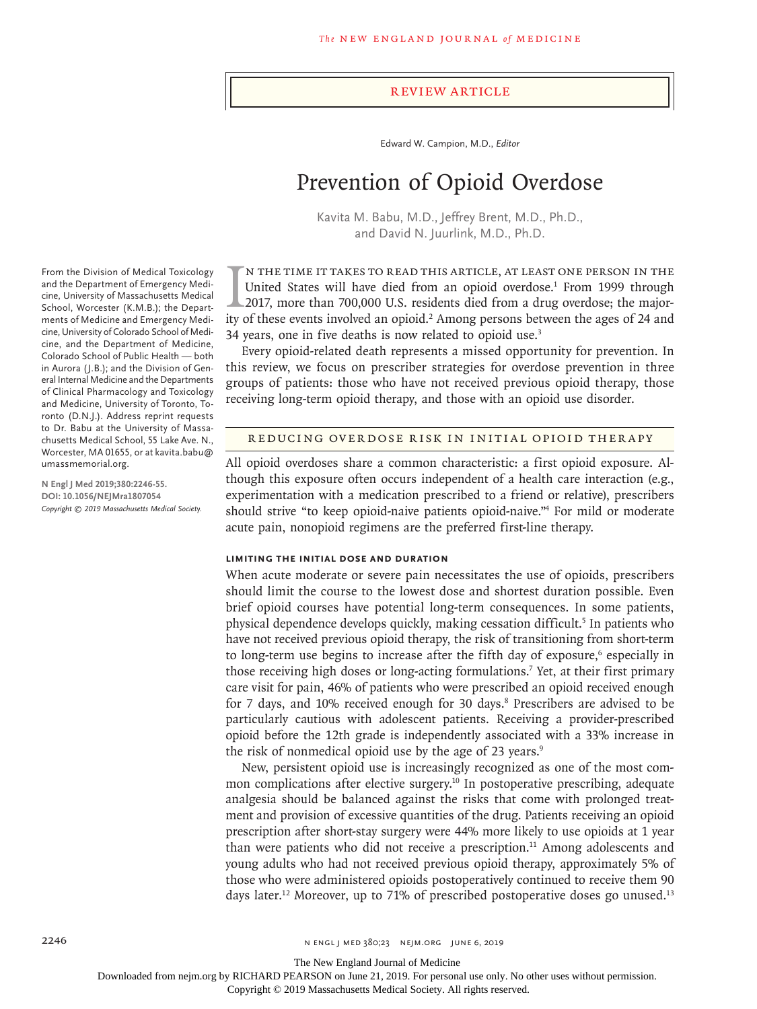#### Review Article

Edward W. Campion, M.D., *Editor*

# Prevention of Opioid Overdose

Kavita M. Babu, M.D., Jeffrey Brent, M.D., Ph.D., and David N. Juurlink, M.D., Ph.D.

IN THE TIME IT TAKES TO READ THIS ARTICLE, AT LEAST ONE PERSON IN THE United States will have died from an opioid overdose.<sup>1</sup> From 1999 through 2017, more than 700,000 U.S. residents died from a drug overdose; the majorit n the time it takes to read this article, at least one person in the United States will have died from an opioid overdose.<sup>1</sup> From 1999 through 2017, more than 700,000 U.S. residents died from a drug overdose; the major-34 years, one in five deaths is now related to opioid use.3

Every opioid-related death represents a missed opportunity for prevention. In this review, we focus on prescriber strategies for overdose prevention in three groups of patients: those who have not received previous opioid therapy, those receiving long-term opioid therapy, and those with an opioid use disorder.

#### Reducing Overdose Risk in Initial Opioid Therapy

All opioid overdoses share a common characteristic: a first opioid exposure. Although this exposure often occurs independent of a health care interaction (e.g., experimentation with a medication prescribed to a friend or relative), prescribers should strive "to keep opioid-naive patients opioid-naive."4 For mild or moderate acute pain, nonopioid regimens are the preferred first-line therapy.

## **Limiting the Initial Dose and Duration**

When acute moderate or severe pain necessitates the use of opioids, prescribers should limit the course to the lowest dose and shortest duration possible. Even brief opioid courses have potential long-term consequences. In some patients, physical dependence develops quickly, making cessation difficult.<sup>5</sup> In patients who have not received previous opioid therapy, the risk of transitioning from short-term to long-term use begins to increase after the fifth day of exposure,<sup>6</sup> especially in those receiving high doses or long-acting formulations.<sup>7</sup> Yet, at their first primary care visit for pain, 46% of patients who were prescribed an opioid received enough for 7 days, and 10% received enough for 30 days.<sup>8</sup> Prescribers are advised to be particularly cautious with adolescent patients. Receiving a provider-prescribed opioid before the 12th grade is independently associated with a 33% increase in the risk of nonmedical opioid use by the age of 23 years.<sup>9</sup>

New, persistent opioid use is increasingly recognized as one of the most common complications after elective surgery.<sup>10</sup> In postoperative prescribing, adequate analgesia should be balanced against the risks that come with prolonged treatment and provision of excessive quantities of the drug. Patients receiving an opioid prescription after short-stay surgery were 44% more likely to use opioids at 1 year than were patients who did not receive a prescription.<sup>11</sup> Among adolescents and young adults who had not received previous opioid therapy, approximately 5% of those who were administered opioids postoperatively continued to receive them 90 days later.<sup>12</sup> Moreover, up to 71% of prescribed postoperative doses go unused.<sup>13</sup>

From the Division of Medical Toxicology and the Department of Emergency Medicine, University of Massachusetts Medical School, Worcester (K.M.B.); the Departments of Medicine and Emergency Medicine, University of Colorado School of Medicine, and the Department of Medicine, Colorado School of Public Health — both in Aurora (J.B.); and the Division of General Internal Medicine and the Departments of Clinical Pharmacology and Toxicology and Medicine, University of Toronto, Toronto (D.N.J.). Address reprint requests to Dr. Babu at the University of Massachusetts Medical School, 55 Lake Ave. N., Worcester, MA 01655, or at kavita.babu@ umassmemorial.org.

**N Engl J Med 2019;380:2246-55. DOI: 10.1056/NEJMra1807054** *Copyright © 2019 Massachusetts Medical Society.*

The New England Journal of Medicine

Downloaded from nejm.org by RICHARD PEARSON on June 21, 2019. For personal use only. No other uses without permission.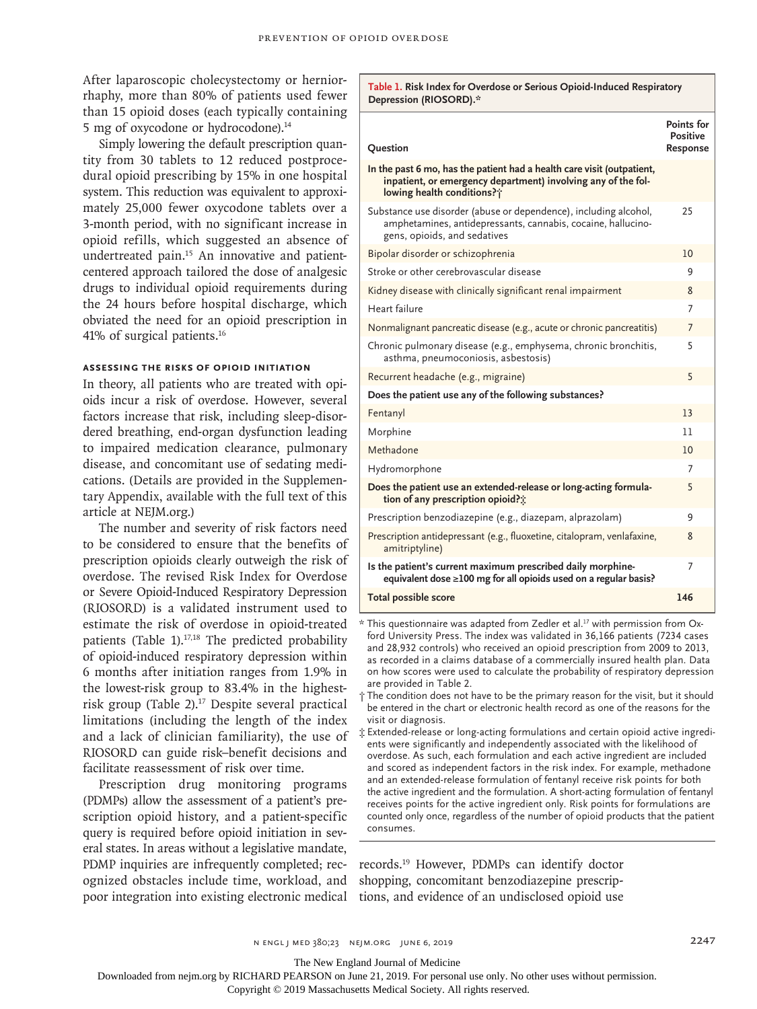After laparoscopic cholecystectomy or herniorrhaphy, more than 80% of patients used fewer than 15 opioid doses (each typically containing 5 mg of oxycodone or hydrocodone).<sup>14</sup>

Simply lowering the default prescription quantity from 30 tablets to 12 reduced postprocedural opioid prescribing by 15% in one hospital system. This reduction was equivalent to approximately 25,000 fewer oxycodone tablets over a 3-month period, with no significant increase in opioid refills, which suggested an absence of undertreated pain.15 An innovative and patientcentered approach tailored the dose of analgesic drugs to individual opioid requirements during the 24 hours before hospital discharge, which obviated the need for an opioid prescription in 41% of surgical patients.16

#### **Assessing the Risks of Opioid Initiation**

In theory, all patients who are treated with opioids incur a risk of overdose. However, several factors increase that risk, including sleep-disordered breathing, end-organ dysfunction leading to impaired medication clearance, pulmonary disease, and concomitant use of sedating medications. (Details are provided in the Supplementary Appendix, available with the full text of this article at NEJM.org.)

The number and severity of risk factors need to be considered to ensure that the benefits of prescription opioids clearly outweigh the risk of overdose. The revised Risk Index for Overdose or Severe Opioid-Induced Respiratory Depression (RIOSORD) is a validated instrument used to estimate the risk of overdose in opioid-treated patients (Table 1).<sup>17,18</sup> The predicted probability of opioid-induced respiratory depression within 6 months after initiation ranges from 1.9% in the lowest-risk group to 83.4% in the highestrisk group (Table 2).<sup>17</sup> Despite several practical limitations (including the length of the index and a lack of clinician familiarity), the use of RIOSORD can guide risk–benefit decisions and facilitate reassessment of risk over time.

Prescription drug monitoring programs (PDMPs) allow the assessment of a patient's prescription opioid history, and a patient-specific query is required before opioid initiation in several states. In areas without a legislative mandate, PDMP inquiries are infrequently completed; recognized obstacles include time, workload, and poor integration into existing electronic medical

**Table 1. Risk Index for Overdose or Serious Opioid-Induced Respiratory Depression (RIOSORD).\***

| Question                                                                                                                                                              | <b>Points for</b><br>Positive<br><b>Response</b> |
|-----------------------------------------------------------------------------------------------------------------------------------------------------------------------|--------------------------------------------------|
| In the past 6 mo, has the patient had a health care visit (outpatient,<br>inpatient, or emergency department) involving any of the fol-<br>lowing health conditions?; |                                                  |
| Substance use disorder (abuse or dependence), including alcohol,<br>amphetamines, antidepressants, cannabis, cocaine, hallucino-<br>gens, opioids, and sedatives      | 25                                               |
| Bipolar disorder or schizophrenia                                                                                                                                     | 10                                               |
| Stroke or other cerebrovascular disease                                                                                                                               | 9                                                |
| Kidney disease with clinically significant renal impairment                                                                                                           | 8                                                |
| Heart failure                                                                                                                                                         | 7                                                |
| Nonmalignant pancreatic disease (e.g., acute or chronic pancreatitis)                                                                                                 | 7                                                |
| Chronic pulmonary disease (e.g., emphysema, chronic bronchitis,<br>asthma, pneumoconiosis, asbestosis)                                                                | 5                                                |
| Recurrent headache (e.g., migraine)                                                                                                                                   | 5                                                |
| Does the patient use any of the following substances?                                                                                                                 |                                                  |
| Fentanyl                                                                                                                                                              | 13                                               |
| Morphine                                                                                                                                                              | 11                                               |
| Methadone                                                                                                                                                             | 10                                               |
| Hydromorphone                                                                                                                                                         | 7                                                |
| Does the patient use an extended-release or long-acting formula-<br>tion of any prescription opioid?:                                                                 | 5                                                |
| Prescription benzodiazepine (e.g., diazepam, alprazolam)                                                                                                              | 9                                                |
| Prescription antidepressant (e.g., fluoxetine, citalopram, venlafaxine,<br>amitriptyline)                                                                             | 8                                                |
| Is the patient's current maximum prescribed daily morphine-<br>equivalent dose $\geq$ 100 mg for all opioids used on a regular basis?                                 | 7                                                |
| <b>Total possible score</b>                                                                                                                                           | 146                                              |

\* This questionnaire was adapted from Zedler et al.17 with permission from Oxford University Press. The index was validated in 36,166 patients (7234 cases and 28,932 controls) who received an opioid prescription from 2009 to 2013, as recorded in a claims database of a commercially insured health plan. Data on how scores were used to calculate the probability of respiratory depression are provided in Table 2.

† The condition does not have to be the primary reason for the visit, but it should be entered in the chart or electronic health record as one of the reasons for the visit or diagnosis.

‡ Extended-release or long-acting formulations and certain opioid active ingredients were significantly and independently associated with the likelihood of overdose. As such, each formulation and each active ingredient are included and scored as independent factors in the risk index. For example, methadone and an extended-release formulation of fentanyl receive risk points for both the active ingredient and the formulation. A short-acting formulation of fentanyl receives points for the active ingredient only. Risk points for formulations are counted only once, regardless of the number of opioid products that the patient consumes.

records.19 However, PDMPs can identify doctor shopping, concomitant benzodiazepine prescriptions, and evidence of an undisclosed opioid use

The New England Journal of Medicine

Downloaded from nejm.org by RICHARD PEARSON on June 21, 2019. For personal use only. No other uses without permission.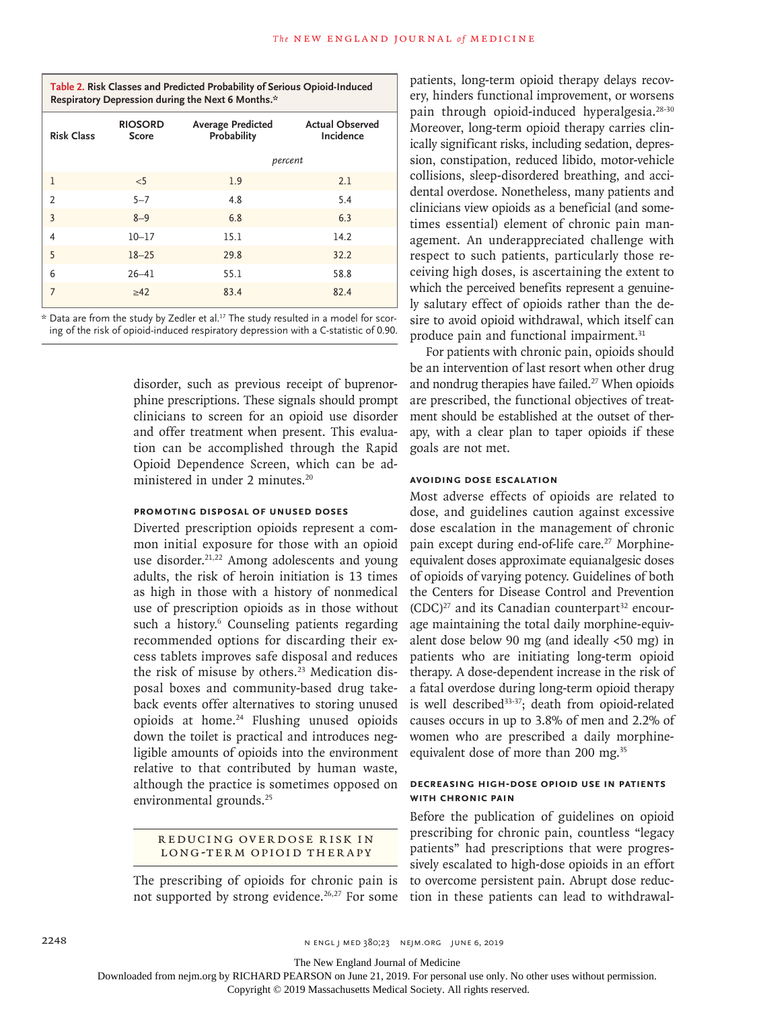| Table 2. Risk Classes and Predicted Probability of Serious Opioid-Induced |
|---------------------------------------------------------------------------|
| Respiratory Depression during the Next 6 Months.*                         |

| <b>Risk Class</b> | <b>RIOSORD</b><br>Score | <b>Average Predicted</b><br>Probability | <b>Actual Observed</b><br>Incidence |
|-------------------|-------------------------|-----------------------------------------|-------------------------------------|
|                   |                         | percent                                 |                                     |
| 1                 | $<$ 5                   | 1.9                                     | 2.1                                 |
| $\overline{2}$    | $5 - 7$                 | 4.8                                     | 5.4                                 |
| 3                 | $8 - 9$                 | 6.8                                     | 6.3                                 |
| $\overline{4}$    | $10 - 17$               | 15.1                                    | 14.2                                |
| 5                 | $18 - 25$               | 29.8                                    | 32.2                                |
| 6                 | $26 - 41$               | 55.1                                    | 58.8                                |
| 7                 | $\geq 42$               | 83.4                                    | 82.4                                |

\* Data are from the study by Zedler et al.17 The study resulted in a model for scoring of the risk of opioid-induced respiratory depression with a C-statistic of 0.90.

> disorder, such as previous receipt of buprenorphine prescriptions. These signals should prompt clinicians to screen for an opioid use disorder and offer treatment when present. This evaluation can be accomplished through the Rapid Opioid Dependence Screen, which can be administered in under 2 minutes.20

# **Promoting Disposal of Unused Doses**

Diverted prescription opioids represent a common initial exposure for those with an opioid use disorder.<sup>21,22</sup> Among adolescents and young adults, the risk of heroin initiation is 13 times as high in those with a history of nonmedical use of prescription opioids as in those without such a history.<sup>6</sup> Counseling patients regarding recommended options for discarding their excess tablets improves safe disposal and reduces the risk of misuse by others.<sup>23</sup> Medication disposal boxes and community-based drug takeback events offer alternatives to storing unused opioids at home.24 Flushing unused opioids down the toilet is practical and introduces negligible amounts of opioids into the environment relative to that contributed by human waste, although the practice is sometimes opposed on environmental grounds.<sup>25</sup>

#### REDUCING OVERDOSE RISK IN Long-Term Opioid Ther apy

The prescribing of opioids for chronic pain is not supported by strong evidence.<sup>26,27</sup> For some patients, long-term opioid therapy delays recovery, hinders functional improvement, or worsens pain through opioid-induced hyperalgesia.<sup>28-30</sup> Moreover, long-term opioid therapy carries clinically significant risks, including sedation, depression, constipation, reduced libido, motor-vehicle collisions, sleep-disordered breathing, and accidental overdose. Nonetheless, many patients and clinicians view opioids as a beneficial (and sometimes essential) element of chronic pain management. An underappreciated challenge with respect to such patients, particularly those receiving high doses, is ascertaining the extent to which the perceived benefits represent a genuinely salutary effect of opioids rather than the desire to avoid opioid withdrawal, which itself can produce pain and functional impairment.<sup>31</sup>

For patients with chronic pain, opioids should be an intervention of last resort when other drug and nondrug therapies have failed.<sup>27</sup> When opioids are prescribed, the functional objectives of treatment should be established at the outset of therapy, with a clear plan to taper opioids if these goals are not met.

# **Avoiding Dose Escalation**

Most adverse effects of opioids are related to dose, and guidelines caution against excessive dose escalation in the management of chronic pain except during end-of-life care.<sup>27</sup> Morphineequivalent doses approximate equianalgesic doses of opioids of varying potency. Guidelines of both the Centers for Disease Control and Prevention  $(CDC)^{27}$  and its Canadian counterpart<sup>32</sup> encourage maintaining the total daily morphine-equivalent dose below 90 mg (and ideally  $\langle 50 \text{ mg} \rangle$  in patients who are initiating long-term opioid therapy. A dose-dependent increase in the risk of a fatal overdose during long-term opioid therapy is well described<sup>33-37</sup>; death from opioid-related causes occurs in up to 3.8% of men and 2.2% of women who are prescribed a daily morphineequivalent dose of more than 200 mg.<sup>35</sup>

# **Decreasing High-Dose Opioid Use in Patients with Chronic Pain**

Before the publication of guidelines on opioid prescribing for chronic pain, countless "legacy patients" had prescriptions that were progressively escalated to high-dose opioids in an effort to overcome persistent pain. Abrupt dose reduction in these patients can lead to withdrawal-

The New England Journal of Medicine

Downloaded from nejm.org by RICHARD PEARSON on June 21, 2019. For personal use only. No other uses without permission.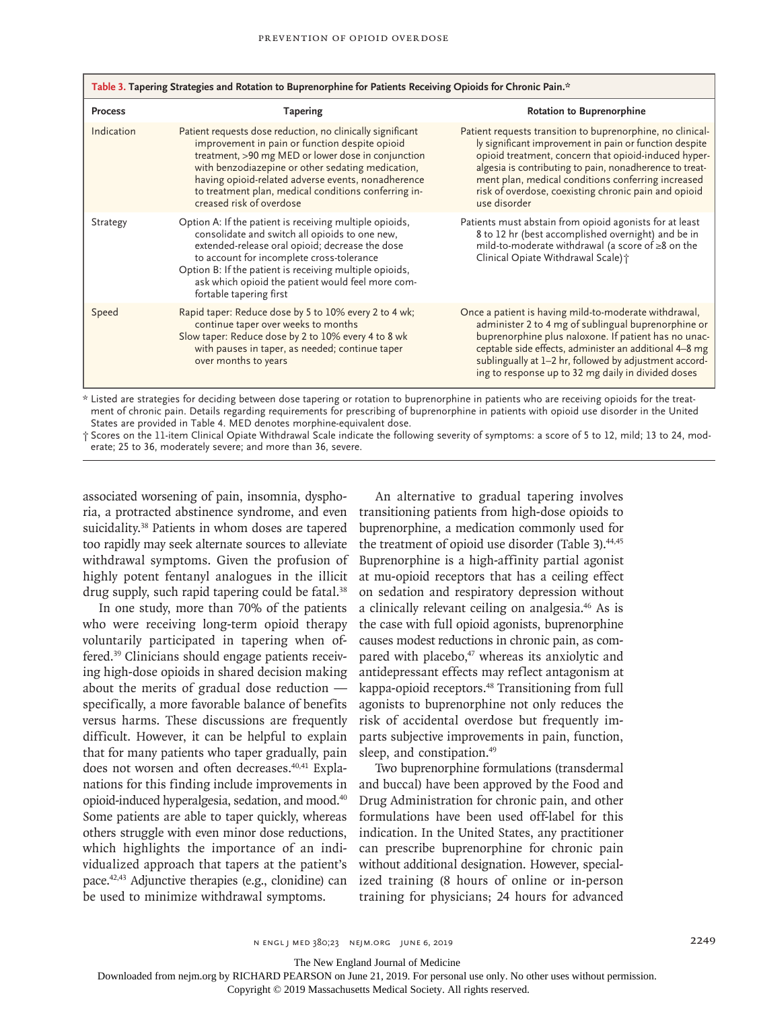| Table 3. Tapering Strategies and Rotation to Buprenorphine for Patients Receiving Opioids for Chronic Pain.* |                                                                                                                                                                                                                                                                                                                                                                   |                                                                                                                                                                                                                                                                                                                                                                       |  |
|--------------------------------------------------------------------------------------------------------------|-------------------------------------------------------------------------------------------------------------------------------------------------------------------------------------------------------------------------------------------------------------------------------------------------------------------------------------------------------------------|-----------------------------------------------------------------------------------------------------------------------------------------------------------------------------------------------------------------------------------------------------------------------------------------------------------------------------------------------------------------------|--|
| <b>Process</b>                                                                                               | <b>Tapering</b>                                                                                                                                                                                                                                                                                                                                                   | <b>Rotation to Buprenorphine</b>                                                                                                                                                                                                                                                                                                                                      |  |
| Indication                                                                                                   | Patient requests dose reduction, no clinically significant<br>improvement in pain or function despite opioid<br>treatment, >90 mg MED or lower dose in conjunction<br>with benzodiazepine or other sedating medication,<br>having opioid-related adverse events, nonadherence<br>to treatment plan, medical conditions conferring in-<br>creased risk of overdose | Patient requests transition to buprenorphine, no clinical-<br>ly significant improvement in pain or function despite<br>opioid treatment, concern that opioid-induced hyper-<br>algesia is contributing to pain, nonadherence to treat-<br>ment plan, medical conditions conferring increased<br>risk of overdose, coexisting chronic pain and opioid<br>use disorder |  |
| Strategy                                                                                                     | Option A: If the patient is receiving multiple opioids,<br>consolidate and switch all opioids to one new,<br>extended-release oral opioid; decrease the dose<br>to account for incomplete cross-tolerance<br>Option B: If the patient is receiving multiple opioids,<br>ask which opioid the patient would feel more com-<br>fortable tapering first              | Patients must abstain from opioid agonists for at least<br>8 to 12 hr (best accomplished overnight) and be in<br>mild-to-moderate withdrawal (a score of $\geq 8$ on the<br>Clinical Opiate Withdrawal Scale) +                                                                                                                                                       |  |
| Speed                                                                                                        | Rapid taper: Reduce dose by 5 to 10% every 2 to 4 wk;<br>continue taper over weeks to months<br>Slow taper: Reduce dose by 2 to 10% every 4 to 8 wk<br>with pauses in taper, as needed; continue taper<br>over months to years                                                                                                                                    | Once a patient is having mild-to-moderate withdrawal,<br>administer 2 to 4 mg of sublingual buprenorphine or<br>buprenorphine plus naloxone. If patient has no unac-<br>ceptable side effects, administer an additional 4-8 mg<br>sublingually at 1–2 hr, followed by adjustment accord-<br>ing to response up to 32 mg daily in divided doses                        |  |

\* Listed are strategies for deciding between dose tapering or rotation to buprenorphine in patients who are receiving opioids for the treatment of chronic pain. Details regarding requirements for prescribing of buprenorphine in patients with opioid use disorder in the United States are provided in Table 4. MED denotes morphine-equivalent dose.

† Scores on the 11-item Clinical Opiate Withdrawal Scale indicate the following severity of symptoms: a score of 5 to 12, mild; 13 to 24, moderate; 25 to 36, moderately severe; and more than 36, severe.

associated worsening of pain, insomnia, dysphoria, a protracted abstinence syndrome, and even suicidality.38 Patients in whom doses are tapered too rapidly may seek alternate sources to alleviate withdrawal symptoms. Given the profusion of highly potent fentanyl analogues in the illicit drug supply, such rapid tapering could be fatal.<sup>38</sup>

In one study, more than 70% of the patients who were receiving long-term opioid therapy voluntarily participated in tapering when offered.39 Clinicians should engage patients receiving high-dose opioids in shared decision making about the merits of gradual dose reduction specifically, a more favorable balance of benefits versus harms. These discussions are frequently difficult. However, it can be helpful to explain that for many patients who taper gradually, pain does not worsen and often decreases.<sup>40,41</sup> Explanations for this finding include improvements in opioid-induced hyperalgesia, sedation, and mood.<sup>40</sup> Some patients are able to taper quickly, whereas others struggle with even minor dose reductions, which highlights the importance of an individualized approach that tapers at the patient's pace.42,43 Adjunctive therapies (e.g., clonidine) can be used to minimize withdrawal symptoms.

An alternative to gradual tapering involves transitioning patients from high-dose opioids to buprenorphine, a medication commonly used for the treatment of opioid use disorder (Table 3).<sup>44,45</sup> Buprenorphine is a high-affinity partial agonist at mu-opioid receptors that has a ceiling effect on sedation and respiratory depression without a clinically relevant ceiling on analgesia.46 As is the case with full opioid agonists, buprenorphine causes modest reductions in chronic pain, as compared with placebo,<sup>47</sup> whereas its anxiolytic and antidepressant effects may reflect antagonism at kappa-opioid receptors.48 Transitioning from full agonists to buprenorphine not only reduces the risk of accidental overdose but frequently imparts subjective improvements in pain, function, sleep, and constipation.<sup>49</sup>

Two buprenorphine formulations (transdermal and buccal) have been approved by the Food and Drug Administration for chronic pain, and other formulations have been used off-label for this indication. In the United States, any practitioner can prescribe buprenorphine for chronic pain without additional designation. However, specialized training (8 hours of online or in-person training for physicians; 24 hours for advanced

The New England Journal of Medicine

Downloaded from nejm.org by RICHARD PEARSON on June 21, 2019. For personal use only. No other uses without permission.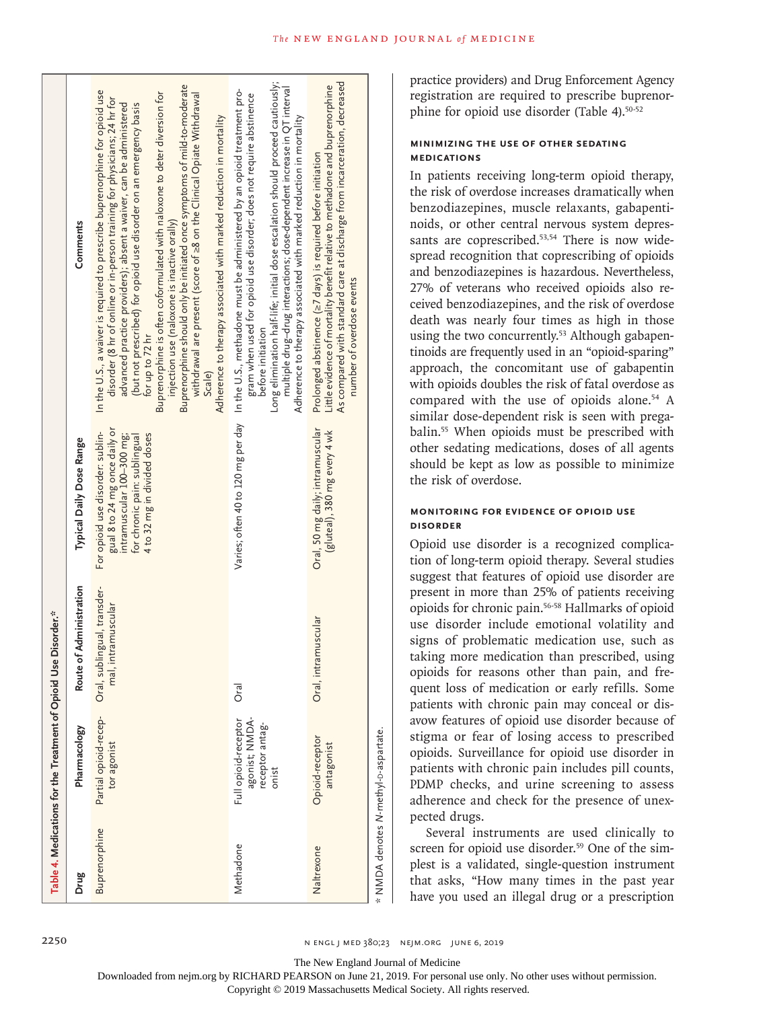|                                                  | Comments<br>Typical Daily Dose Range | Buprenorphine should only be initiated once symptoms of mild-to-moderate<br>In the U.S., a waiver is required to prescribe buprenorphine for opioid use<br>Buprenorphine is often coformulated with naloxone to deter diversion for<br>withdrawal are present (score of ≥8 on the Clinical Opiate Withdrawal<br>disorder (8 hr of online or in-person training for physicians; 24 hr for<br>advanced practice providers); absent a waiver, can be administered<br>(but not prescribed) for opioid use disorder on an emergency basis<br>Adherence to therapy associated with marked reduction in mortality<br>injection use (naloxone is inactive orally)<br>for up to 72 hr<br>Scale)<br>gual 8 to 24 mg once daily or<br>For opioid use disorder: sublin-<br>4 to 32 mg in divided doses<br>intramuscular 100-300 mg;<br>for chronic pain: sublingual | Long elimination half-life; initial dose escalation should proceed cautiously;<br>multiple drug-drug interactions; dose-dependent increase in $Q$ T interval<br>Varies; often 40 to 120 mg per day    In the U.S., methadone must be administered by an opioid treatment pro-<br>gram when used for opioid use disorder; does not require abstinence<br>Adherence to therapy associated with marked reduction in mortality<br>before initiation | As compared with standard care at discharge from incarceration, decreased<br>Little evidence of mortality benefit relative to methadone and buprenorphine<br>Prolonged abstinence (27 days) is required before initiation<br>number of overdose events<br>Oral, 50 mg daily; intramuscular<br>(gluteal), 380 mg every 4 wk |
|--------------------------------------------------|--------------------------------------|---------------------------------------------------------------------------------------------------------------------------------------------------------------------------------------------------------------------------------------------------------------------------------------------------------------------------------------------------------------------------------------------------------------------------------------------------------------------------------------------------------------------------------------------------------------------------------------------------------------------------------------------------------------------------------------------------------------------------------------------------------------------------------------------------------------------------------------------------------|-------------------------------------------------------------------------------------------------------------------------------------------------------------------------------------------------------------------------------------------------------------------------------------------------------------------------------------------------------------------------------------------------------------------------------------------------|----------------------------------------------------------------------------------------------------------------------------------------------------------------------------------------------------------------------------------------------------------------------------------------------------------------------------|
| Use Disorder.*                                   | Route of Administration              | Oral, sublingual, transder-<br>mal, intramuscular                                                                                                                                                                                                                                                                                                                                                                                                                                                                                                                                                                                                                                                                                                                                                                                                       | Oral                                                                                                                                                                                                                                                                                                                                                                                                                                            | intramuscular<br>Oral, i                                                                                                                                                                                                                                                                                                   |
| Table 4. Medications for the Treatment of Opioid | Pharmacology                         | Partial opioid-recep-<br>tor agonist                                                                                                                                                                                                                                                                                                                                                                                                                                                                                                                                                                                                                                                                                                                                                                                                                    | agonist; NMDA-<br>Full opioid-receptor<br>receptor antag-<br>onist                                                                                                                                                                                                                                                                                                                                                                              | Opioid-receptor<br>antagonist                                                                                                                                                                                                                                                                                              |
|                                                  | Drug                                 | Buprenorphine                                                                                                                                                                                                                                                                                                                                                                                                                                                                                                                                                                                                                                                                                                                                                                                                                                           | Methadone                                                                                                                                                                                                                                                                                                                                                                                                                                       | Naltrexone                                                                                                                                                                                                                                                                                                                 |

practice providers) and Drug Enforcement Agency registration are required to prescribe buprenorphine for opioid use disorder (Table 4).<sup>50-52</sup>

# **Minimizing the Use of Other Sedating Medications**

In patients receiving long-term opioid therapy, the risk of overdose increases dramatically when benzodiazepines, muscle relaxants, gabapentinoids, or other central nervous system depressants are coprescribed.<sup>53,54</sup> There is now widespread recognition that coprescribing of opioids and benzodiazepines is hazardous. Nevertheless, 27% of veterans who received opioids also received benzodiazepines, and the risk of overdose death was nearly four times as high in those using the two concurrently.<sup>53</sup> Although gabapentinoids are frequently used in an "opioid-sparing" approach, the concomitant use of gabapentin with opioids doubles the risk of fatal overdose as compared with the use of opioids alone.<sup>54</sup> A similar dose-dependent risk is seen with pregabalin.55 When opioids must be prescribed with other sedating medications, doses of all agents should be kept as low as possible to minimize the risk of overdose.

# **Monitoring for Evidence of Opioid Use Disorder**

Opioid use disorder is a recognized complication of long-term opioid therapy. Several studies suggest that features of opioid use disorder are present in more than 25% of patients receiving opioids for chronic pain.56-58 Hallmarks of opioid use disorder include emotional volatility and signs of problematic medication use, such as taking more medication than prescribed, using opioids for reasons other than pain, and frequent loss of medication or early refills. Some patients with chronic pain may conceal or disavow features of opioid use disorder because of stigma or fear of losing access to prescribed opioids. Surveillance for opioid use disorder in patients with chronic pain includes pill counts, PDMP checks, and urine screening to assess adherence and check for the presence of unexpected drugs.

Several instruments are used clinically to screen for opioid use disorder.<sup>59</sup> One of the simplest is a validated, single-question instrument that asks, "How many times in the past year have you used an illegal drug or a prescription

The New England Journal of Medicine

*N*-methyl-d-aspartate.

Downloaded from nejm.org by RICHARD PEARSON on June 21, 2019. For personal use only. No other uses without permission.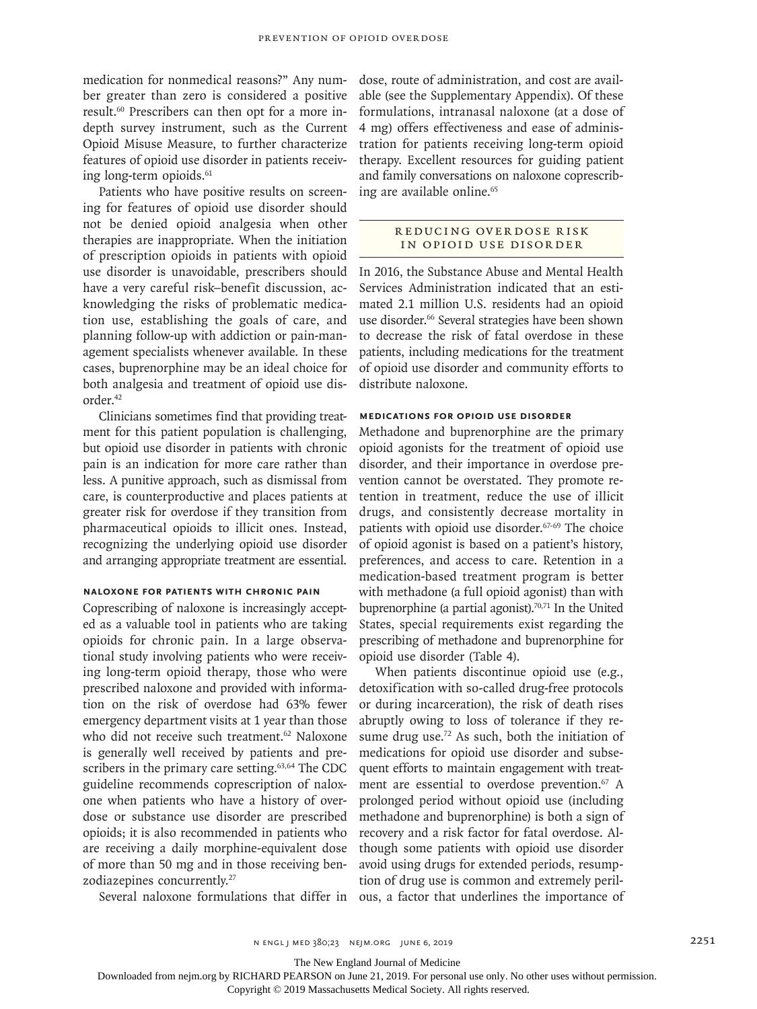medication for nonmedical reasons?" Any number greater than zero is considered a positive result.60 Prescribers can then opt for a more indepth survey instrument, such as the Current Opioid Misuse Measure, to further characterize features of opioid use disorder in patients receiving long-term opioids.<sup>61</sup>

Patients who have positive results on screening for features of opioid use disorder should not be denied opioid analgesia when other therapies are inappropriate. When the initiation of prescription opioids in patients with opioid use disorder is unavoidable, prescribers should have a very careful risk–benefit discussion, acknowledging the risks of problematic medication use, establishing the goals of care, and planning follow-up with addiction or pain-management specialists whenever available. In these cases, buprenorphine may be an ideal choice for both analgesia and treatment of opioid use disorder.42

Clinicians sometimes find that providing treatment for this patient population is challenging, but opioid use disorder in patients with chronic pain is an indication for more care rather than less. A punitive approach, such as dismissal from care, is counterproductive and places patients at greater risk for overdose if they transition from pharmaceutical opioids to illicit ones. Instead, recognizing the underlying opioid use disorder and arranging appropriate treatment are essential.

#### **Naloxone for Patients with Chronic Pain**

Coprescribing of naloxone is increasingly accepted as a valuable tool in patients who are taking opioids for chronic pain. In a large observational study involving patients who were receiving long-term opioid therapy, those who were prescribed naloxone and provided with information on the risk of overdose had 63% fewer emergency department visits at 1 year than those who did not receive such treatment.<sup>62</sup> Naloxone is generally well received by patients and prescribers in the primary care setting.<sup>63,64</sup> The CDC guideline recommends coprescription of naloxone when patients who have a history of overdose or substance use disorder are prescribed opioids; it is also recommended in patients who are receiving a daily morphine-equivalent dose of more than 50 mg and in those receiving benzodiazepines concurrently.27

dose, route of administration, and cost are available (see the Supplementary Appendix). Of these formulations, intranasal naloxone (at a dose of 4 mg) offers effectiveness and ease of administration for patients receiving long-term opioid therapy. Excellent resources for guiding patient and family conversations on naloxone coprescribing are available online.<sup>65</sup>

## REDUCING OVERDOSE RISK in Opioid Use Disorder

In 2016, the Substance Abuse and Mental Health Services Administration indicated that an estimated 2.1 million U.S. residents had an opioid use disorder.<sup>66</sup> Several strategies have been shown to decrease the risk of fatal overdose in these patients, including medications for the treatment of opioid use disorder and community efforts to distribute naloxone.

## **Medications for Opioid Use Disorder**

Methadone and buprenorphine are the primary opioid agonists for the treatment of opioid use disorder, and their importance in overdose prevention cannot be overstated. They promote retention in treatment, reduce the use of illicit drugs, and consistently decrease mortality in patients with opioid use disorder.<sup>67-69</sup> The choice of opioid agonist is based on a patient's history, preferences, and access to care. Retention in a medication-based treatment program is better with methadone (a full opioid agonist) than with buprenorphine (a partial agonist). $70,71$  In the United States, special requirements exist regarding the prescribing of methadone and buprenorphine for opioid use disorder (Table 4).

Several naloxone formulations that differ in ous, a factor that underlines the importance of When patients discontinue opioid use (e.g., detoxification with so-called drug-free protocols or during incarceration), the risk of death rises abruptly owing to loss of tolerance if they resume drug use.<sup>72</sup> As such, both the initiation of medications for opioid use disorder and subsequent efforts to maintain engagement with treatment are essential to overdose prevention.<sup>67</sup> A prolonged period without opioid use (including methadone and buprenorphine) is both a sign of recovery and a risk factor for fatal overdose. Although some patients with opioid use disorder avoid using drugs for extended periods, resumption of drug use is common and extremely peril-

The New England Journal of Medicine

Downloaded from nejm.org by RICHARD PEARSON on June 21, 2019. For personal use only. No other uses without permission.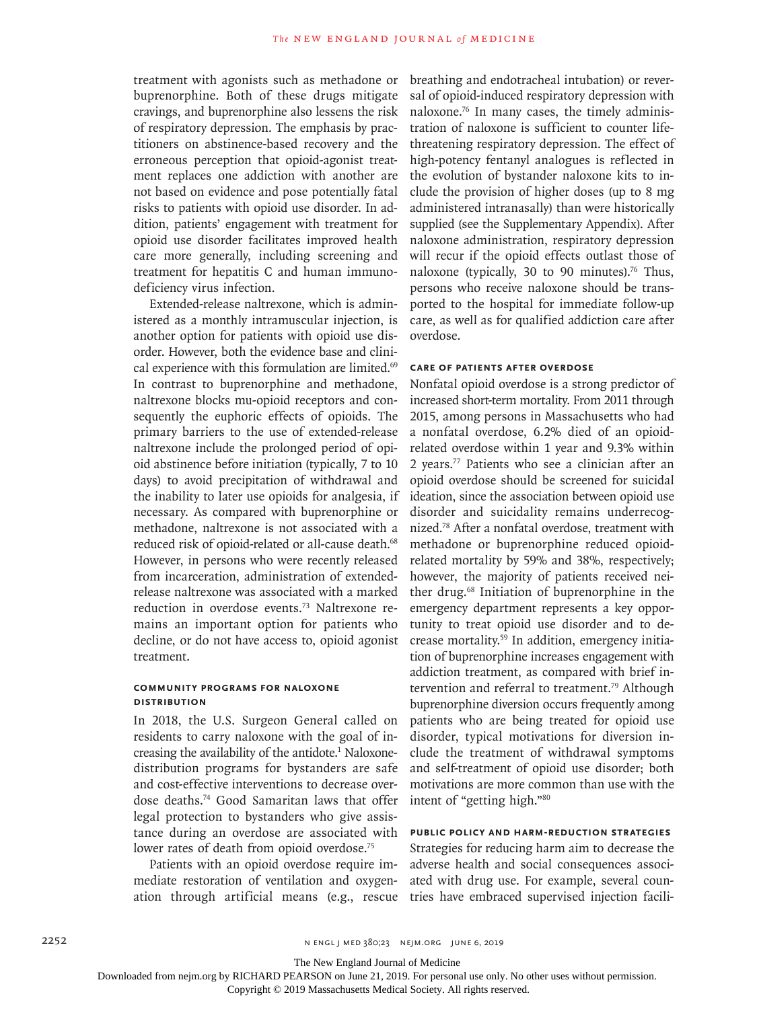treatment with agonists such as methadone or buprenorphine. Both of these drugs mitigate cravings, and buprenorphine also lessens the risk of respiratory depression. The emphasis by practitioners on abstinence-based recovery and the erroneous perception that opioid-agonist treatment replaces one addiction with another are not based on evidence and pose potentially fatal risks to patients with opioid use disorder. In addition, patients' engagement with treatment for opioid use disorder facilitates improved health care more generally, including screening and treatment for hepatitis C and human immunodeficiency virus infection.

Extended-release naltrexone, which is administered as a monthly intramuscular injection, is another option for patients with opioid use disorder. However, both the evidence base and clinical experience with this formulation are limited.69 In contrast to buprenorphine and methadone, naltrexone blocks mu-opioid receptors and consequently the euphoric effects of opioids. The primary barriers to the use of extended-release naltrexone include the prolonged period of opioid abstinence before initiation (typically, 7 to 10 days) to avoid precipitation of withdrawal and the inability to later use opioids for analgesia, if necessary. As compared with buprenorphine or methadone, naltrexone is not associated with a reduced risk of opioid-related or all-cause death.<sup>68</sup> However, in persons who were recently released from incarceration, administration of extendedrelease naltrexone was associated with a marked reduction in overdose events.73 Naltrexone remains an important option for patients who decline, or do not have access to, opioid agonist treatment.

## **Community Programs for Naloxone Distribution**

In 2018, the U.S. Surgeon General called on residents to carry naloxone with the goal of increasing the availability of the antidote.<sup>1</sup> Naloxonedistribution programs for bystanders are safe and cost-effective interventions to decrease overdose deaths.74 Good Samaritan laws that offer legal protection to bystanders who give assistance during an overdose are associated with lower rates of death from opioid overdose.<sup>75</sup>

Patients with an opioid overdose require immediate restoration of ventilation and oxygenation through artificial means (e.g., rescue breathing and endotracheal intubation) or reversal of opioid-induced respiratory depression with naloxone.76 In many cases, the timely administration of naloxone is sufficient to counter lifethreatening respiratory depression. The effect of high-potency fentanyl analogues is reflected in the evolution of bystander naloxone kits to include the provision of higher doses (up to 8 mg administered intranasally) than were historically supplied (see the Supplementary Appendix). After naloxone administration, respiratory depression will recur if the opioid effects outlast those of naloxone (typically, 30 to 90 minutes).<sup>76</sup> Thus, persons who receive naloxone should be transported to the hospital for immediate follow-up care, as well as for qualified addiction care after overdose.

#### **Care of Patients after Overdose**

Nonfatal opioid overdose is a strong predictor of increased short-term mortality. From 2011 through 2015, among persons in Massachusetts who had a nonfatal overdose, 6.2% died of an opioidrelated overdose within 1 year and 9.3% within 2 years.77 Patients who see a clinician after an opioid overdose should be screened for suicidal ideation, since the association between opioid use disorder and suicidality remains underrecognized.78 After a nonfatal overdose, treatment with methadone or buprenorphine reduced opioidrelated mortality by 59% and 38%, respectively; however, the majority of patients received neither drug.<sup>68</sup> Initiation of buprenorphine in the emergency department represents a key opportunity to treat opioid use disorder and to decrease mortality.59 In addition, emergency initiation of buprenorphine increases engagement with addiction treatment, as compared with brief intervention and referral to treatment.79 Although buprenorphine diversion occurs frequently among patients who are being treated for opioid use disorder, typical motivations for diversion include the treatment of withdrawal symptoms and self-treatment of opioid use disorder; both motivations are more common than use with the intent of "getting high."80

# **Public Policy and Harm-Reduction Strategies**

Strategies for reducing harm aim to decrease the adverse health and social consequences associated with drug use. For example, several countries have embraced supervised injection facili-

The New England Journal of Medicine

Downloaded from nejm.org by RICHARD PEARSON on June 21, 2019. For personal use only. No other uses without permission.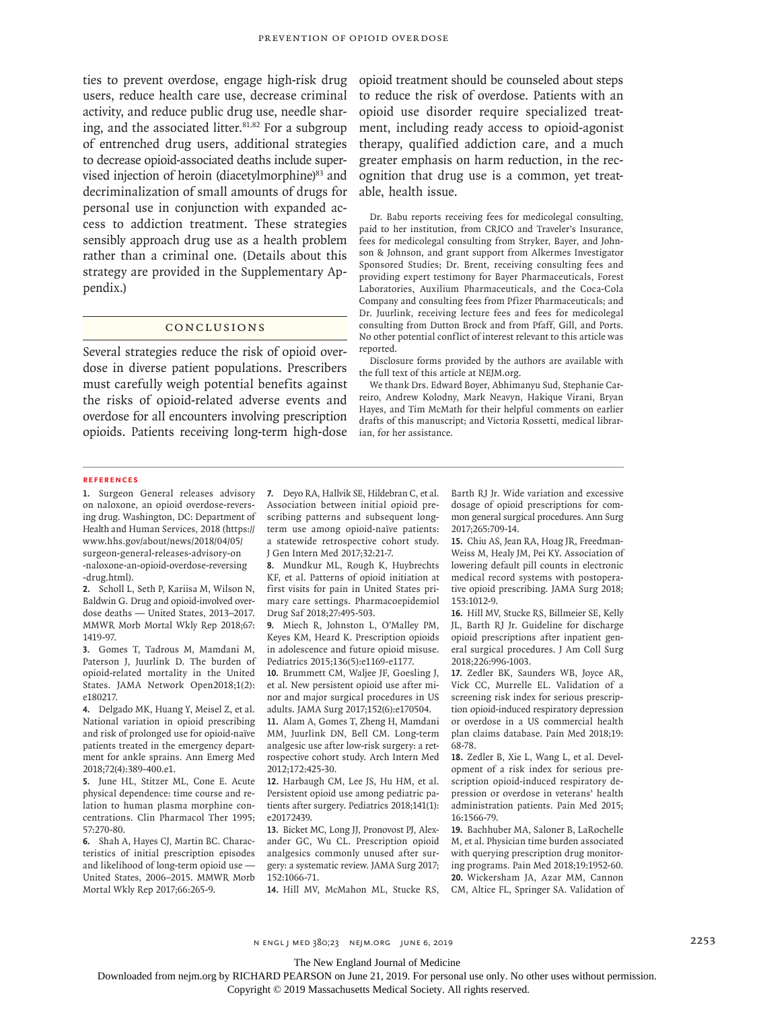ties to prevent overdose, engage high-risk drug users, reduce health care use, decrease criminal activity, and reduce public drug use, needle sharing, and the associated litter. $81,82$  For a subgroup of entrenched drug users, additional strategies to decrease opioid-associated deaths include supervised injection of heroin (diacetylmorphine)<sup>83</sup> and decriminalization of small amounts of drugs for personal use in conjunction with expanded access to addiction treatment. These strategies sensibly approach drug use as a health problem rather than a criminal one. (Details about this strategy are provided in the Supplementary Appendix.)

#### Conclusions

Several strategies reduce the risk of opioid overdose in diverse patient populations. Prescribers must carefully weigh potential benefits against the risks of opioid-related adverse events and overdose for all encounters involving prescription opioids. Patients receiving long-term high-dose opioid treatment should be counseled about steps to reduce the risk of overdose. Patients with an opioid use disorder require specialized treatment, including ready access to opioid-agonist therapy, qualified addiction care, and a much greater emphasis on harm reduction, in the recognition that drug use is a common, yet treatable, health issue.

Dr. Babu reports receiving fees for medicolegal consulting, paid to her institution, from CRICO and Traveler's Insurance, fees for medicolegal consulting from Stryker, Bayer, and Johnson & Johnson, and grant support from Alkermes Investigator Sponsored Studies; Dr. Brent, receiving consulting fees and providing expert testimony for Bayer Pharmaceuticals, Forest Laboratories, Auxilium Pharmaceuticals, and the Coca-Cola Company and consulting fees from Pfizer Pharmaceuticals; and Dr. Juurlink, receiving lecture fees and fees for medicolegal consulting from Dutton Brock and from Pfaff, Gill, and Ports. No other potential conflict of interest relevant to this article was reported.

Disclosure forms provided by the authors are available with the full text of this article at NEJM.org.

We thank Drs. Edward Boyer, Abhimanyu Sud, Stephanie Carreiro, Andrew Kolodny, Mark Neavyn, Hakique Virani, Bryan Hayes, and Tim McMath for their helpful comments on earlier drafts of this manuscript; and Victoria Rossetti, medical librarian, for her assistance.

#### **References**

**1.** Surgeon General releases advisory on naloxone, an opioid overdose-reversing drug. Washington, DC: Department of Health and Human Services, 2018 (https:// www.hhs.gov/about/news/2018/04/05/ surgeon-general-releases-advisory-on -naloxone-an-opioid-overdose-reversing -drug.html).

**2.** Scholl L, Seth P, Kariisa M, Wilson N, Baldwin G. Drug and opioid-involved overdose deaths — United States, 2013–2017. MMWR Morb Mortal Wkly Rep 2018;67: 1419-97.

**3.** Gomes T, Tadrous M, Mamdani M, Paterson J, Juurlink D. The burden of opioid-related mortality in the United States. JAMA Network Open2018;1(2): e180217.

**4.** Delgado MK, Huang Y, Meisel Z, et al. National variation in opioid prescribing and risk of prolonged use for opioid-naïve patients treated in the emergency department for ankle sprains. Ann Emerg Med 2018;72(4):389-400.e1.

**5.** June HL, Stitzer ML, Cone E. Acute physical dependence: time course and relation to human plasma morphine concentrations. Clin Pharmacol Ther 1995; 57:270-80.

**6.** Shah A, Hayes CJ, Martin BC. Characteristics of initial prescription episodes and likelihood of long-term opioid use — United States, 2006–2015. MMWR Morb Mortal Wkly Rep 2017;66:265-9.

**7.** Deyo RA, Hallvik SE, Hildebran C, et al. Association between initial opioid prescribing patterns and subsequent longterm use among opioid-naïve patients: a statewide retrospective cohort study. J Gen Intern Med 2017;32:21-7.

**8.** Mundkur ML, Rough K, Huybrechts KF, et al. Patterns of opioid initiation at first visits for pain in United States primary care settings. Pharmacoepidemiol Drug Saf 2018;27:495-503.

**9.** Miech R, Johnston L, O'Malley PM, Keyes KM, Heard K. Prescription opioids in adolescence and future opioid misuse. Pediatrics 2015;136(5):e1169-e1177.

**10.** Brummett CM, Waljee JF, Goesling J, et al. New persistent opioid use after minor and major surgical procedures in US adults. JAMA Surg 2017;152(6):e170504.

**11.** Alam A, Gomes T, Zheng H, Mamdani MM, Juurlink DN, Bell CM. Long-term analgesic use after low-risk surgery: a retrospective cohort study. Arch Intern Med 2012;172:425-30.

**12.** Harbaugh CM, Lee JS, Hu HM, et al. Persistent opioid use among pediatric patients after surgery. Pediatrics 2018;141(1): e20172439.

**13.** Bicket MC, Long JJ, Pronovost PJ, Alexander GC, Wu CL. Prescription opioid analgesics commonly unused after surgery: a systematic review. JAMA Surg 2017; 152:1066-71.

**14.** Hill MV, McMahon ML, Stucke RS,

Barth RJ Jr. Wide variation and excessive dosage of opioid prescriptions for common general surgical procedures. Ann Surg 2017;265:709-14.

**15.** Chiu AS, Jean RA, Hoag JR, Freedman-Weiss M, Healy JM, Pei KY. Association of lowering default pill counts in electronic medical record systems with postoperative opioid prescribing. JAMA Surg 2018; 153:1012-9.

**16.** Hill MV, Stucke RS, Billmeier SE, Kelly JL, Barth RJ Jr. Guideline for discharge opioid prescriptions after inpatient general surgical procedures. J Am Coll Surg 2018;226:996-1003.

**17.** Zedler BK, Saunders WB, Joyce AR, Vick CC, Murrelle EL. Validation of a screening risk index for serious prescription opioid-induced respiratory depression or overdose in a US commercial health plan claims database. Pain Med 2018;19: 68-78.

**18.** Zedler B, Xie L, Wang L, et al. Development of a risk index for serious prescription opioid-induced respiratory depression or overdose in veterans' health administration patients. Pain Med 2015; 16:1566-79.

**19.** Bachhuber MA, Saloner B, LaRochelle M, et al. Physician time burden associated with querying prescription drug monitoring programs. Pain Med 2018;19:1952-60. **20.** Wickersham JA, Azar MM, Cannon CM, Altice FL, Springer SA. Validation of

The New England Journal of Medicine

Downloaded from nejm.org by RICHARD PEARSON on June 21, 2019. For personal use only. No other uses without permission.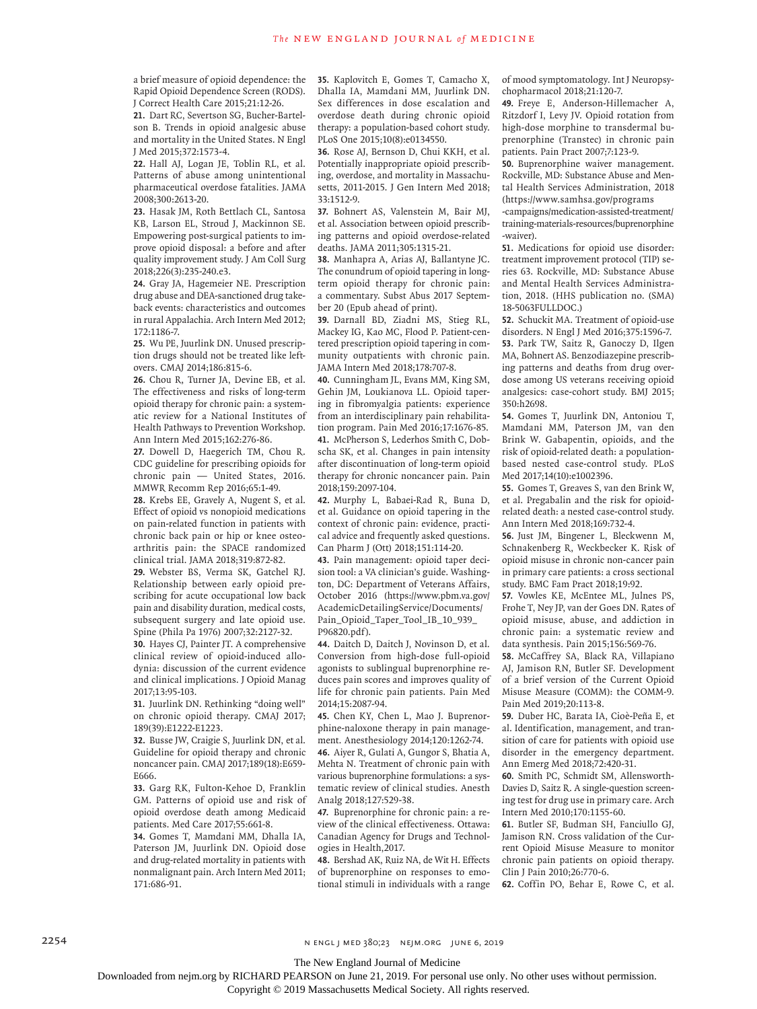a brief measure of opioid dependence: the Rapid Opioid Dependence Screen (RODS). J Correct Health Care 2015;21:12-26.

**21.** Dart RC, Severtson SG, Bucher-Bartelson B. Trends in opioid analgesic abuse and mortality in the United States. N Engl J Med 2015;372:1573-4.

**22.** Hall AJ, Logan JE, Toblin RL, et al. Patterns of abuse among unintentional pharmaceutical overdose fatalities. JAMA 2008;300:2613-20.

**23.** Hasak JM, Roth Bettlach CL, Santosa KB, Larson EL, Stroud J, Mackinnon SE. Empowering post-surgical patients to improve opioid disposal: a before and after quality improvement study. J Am Coll Surg 2018;226(3):235-240.e3.

**24.** Gray JA, Hagemeier NE. Prescription drug abuse and DEA-sanctioned drug takeback events: characteristics and outcomes in rural Appalachia. Arch Intern Med 2012; 172:1186-7.

**25.** Wu PE, Juurlink DN. Unused prescription drugs should not be treated like leftovers. CMAJ 2014;186:815-6.

**26.** Chou R, Turner JA, Devine EB, et al. The effectiveness and risks of long-term opioid therapy for chronic pain: a systematic review for a National Institutes of Health Pathways to Prevention Workshop. Ann Intern Med 2015;162:276-86.

**27.** Dowell D, Haegerich TM, Chou R. CDC guideline for prescribing opioids for chronic pain — United States, 2016. MMWR Recomm Rep 2016;65:1-49.

**28.** Krebs EE, Gravely A, Nugent S, et al. Effect of opioid vs nonopioid medications on pain-related function in patients with chronic back pain or hip or knee osteoarthritis pain: the SPACE randomized clinical trial. JAMA 2018;319:872-82.

**29.** Webster BS, Verma SK, Gatchel RJ. Relationship between early opioid prescribing for acute occupational low back pain and disability duration, medical costs, subsequent surgery and late opioid use. Spine (Phila Pa 1976) 2007;32:2127-32.

**30.** Hayes CJ, Painter JT. A comprehensive clinical review of opioid-induced allodynia: discussion of the current evidence and clinical implications. J Opioid Manag 2017;13:95-103.

**31.** Juurlink DN. Rethinking "doing well" on chronic opioid therapy. CMAJ 2017; 189(39):E1222-E1223.

**32.** Busse JW, Craigie S, Juurlink DN, et al. Guideline for opioid therapy and chronic noncancer pain. CMAJ 2017;189(18):E659- E666.

**33.** Garg RK, Fulton-Kehoe D, Franklin GM. Patterns of opioid use and risk of opioid overdose death among Medicaid patients. Med Care 2017;55:661-8.

**34.** Gomes T, Mamdani MM, Dhalla IA, Paterson JM, Juurlink DN. Opioid dose and drug-related mortality in patients with nonmalignant pain. Arch Intern Med 2011; 171:686-91.

**35.** Kaplovitch E, Gomes T, Camacho X, Dhalla IA, Mamdani MM, Juurlink DN. Sex differences in dose escalation and overdose death during chronic opioid therapy: a population-based cohort study. PLoS One 2015;10(8):e0134550.

**36.** Rose AJ, Bernson D, Chui KKH, et al. Potentially inappropriate opioid prescribing, overdose, and mortality in Massachusetts, 2011-2015. J Gen Intern Med 2018; 33:1512-9.

**37.** Bohnert AS, Valenstein M, Bair MJ, et al. Association between opioid prescribing patterns and opioid overdose-related deaths. JAMA 2011;305:1315-21.

**38.** Manhapra A, Arias AJ, Ballantyne JC. The conundrum of opioid tapering in longterm opioid therapy for chronic pain: a commentary. Subst Abus 2017 September 20 (Epub ahead of print).

**39.** Darnall BD, Ziadni MS, Stieg RL, Mackey IG, Kao MC, Flood P. Patient-centered prescription opioid tapering in community outpatients with chronic pain. JAMA Intern Med 2018;178:707-8.

**40.** Cunningham JL, Evans MM, King SM, Gehin JM, Loukianova LL. Opioid tapering in fibromyalgia patients: experience from an interdisciplinary pain rehabilitation program. Pain Med 2016;17:1676-85. **41.** McPherson S, Lederhos Smith C, Dobscha SK, et al. Changes in pain intensity after discontinuation of long-term opioid therapy for chronic noncancer pain. Pain 2018;159:2097-104.

**42.** Murphy L, Babaei-Rad R, Buna D, et al. Guidance on opioid tapering in the context of chronic pain: evidence, practical advice and frequently asked questions. Can Pharm J (Ott) 2018;151:114-20.

**43.** Pain management: opioid taper decision tool: a VA clinician's guide. Washington, DC: Department of Veterans Affairs, October 2016 (https://www.pbm.va.gov/ AcademicDetailingService/Documents/ Pain\_Opioid\_Taper\_Tool\_IB\_10\_939\_ P96820.pdf).

**44.** Daitch D, Daitch J, Novinson D, et al. Conversion from high-dose full-opioid agonists to sublingual buprenorphine reduces pain scores and improves quality of life for chronic pain patients. Pain Med 2014;15:2087-94.

**45.** Chen KY, Chen L, Mao J. Buprenorphine-naloxone therapy in pain management. Anesthesiology 2014;120:1262-74.

**46.** Aiyer R, Gulati A, Gungor S, Bhatia A, Mehta N. Treatment of chronic pain with various buprenorphine formulations: a systematic review of clinical studies. Anesth Analg 2018;127:529-38.

**47.** Buprenorphine for chronic pain: a review of the clinical effectiveness. Ottawa: Canadian Agency for Drugs and Technologies in Health,2017.

**48.** Bershad AK, Ruiz NA, de Wit H. Effects of buprenorphine on responses to emotional stimuli in individuals with a range of mood symptomatology. Int J Neuropsychopharmacol 2018;21:120-7.

**49.** Freye E, Anderson-Hillemacher A, Ritzdorf I, Levy JV. Opioid rotation from high-dose morphine to transdermal buprenorphine (Transtec) in chronic pain patients. Pain Pract 2007;7:123-9.

**50.** Buprenorphine waiver management. Rockville, MD: Substance Abuse and Mental Health Services Administration, 2018 (https://www.samhsa.gov/programs

-campaigns/medication-assisted-treatment/ training-materials-resources/buprenorphine -waiver).

**51.** Medications for opioid use disorder: treatment improvement protocol (TIP) series 63. Rockville, MD: Substance Abuse and Mental Health Services Administration, 2018. (HHS publication no. (SMA) 18-5063FULLDOC.)

**52.** Schuckit MA. Treatment of opioid-use disorders. N Engl J Med 2016;375:1596-7. **53.** Park TW, Saitz R, Ganoczy D, Ilgen MA, Bohnert AS. Benzodiazepine prescribing patterns and deaths from drug overdose among US veterans receiving opioid analgesics: case-cohort study. BMJ 2015; 350:h2698.

**54.** Gomes T, Juurlink DN, Antoniou T, Mamdani MM, Paterson JM, van den Brink W. Gabapentin, opioids, and the risk of opioid-related death: a populationbased nested case-control study. PLoS Med 2017;14(10):e1002396.

**55.** Gomes T, Greaves S, van den Brink W, et al. Pregabalin and the risk for opioidrelated death: a nested case-control study. Ann Intern Med 2018;169:732-4.

**56.** Just JM, Bingener L, Bleckwenn M, Schnakenberg R, Weckbecker K. Risk of opioid misuse in chronic non-cancer pain in primary care patients: a cross sectional study. BMC Fam Pract 2018;19:92.

**57.** Vowles KE, McEntee ML, Julnes PS, Frohe T, Ney JP, van der Goes DN. Rates of opioid misuse, abuse, and addiction in chronic pain: a systematic review and data synthesis. Pain 2015;156:569-76.

**58.** McCaffrey SA, Black RA, Villapiano AJ, Jamison RN, Butler SF. Development of a brief version of the Current Opioid Misuse Measure (COMM): the COMM-9. Pain Med 2019;20:113-8.

**59.** Duber HC, Barata IA, Cioè-Peña E, et al. Identification, management, and transition of care for patients with opioid use disorder in the emergency department. Ann Emerg Med 2018;72:420-31.

**60.** Smith PC, Schmidt SM, Allensworth-Davies D, Saitz R. A single-question screening test for drug use in primary care. Arch Intern Med 2010;170:1155-60.

**61.** Butler SF, Budman SH, Fanciullo GJ, Jamison RN. Cross validation of the Current Opioid Misuse Measure to monitor chronic pain patients on opioid therapy. Clin J Pain 2010;26:770-6.

**62.** Coffin PO, Behar E, Rowe C, et al.

2254 n engl j med 380;23 nejm.org June 6, 2019

The New England Journal of Medicine

Downloaded from nejm.org by RICHARD PEARSON on June 21, 2019. For personal use only. No other uses without permission.